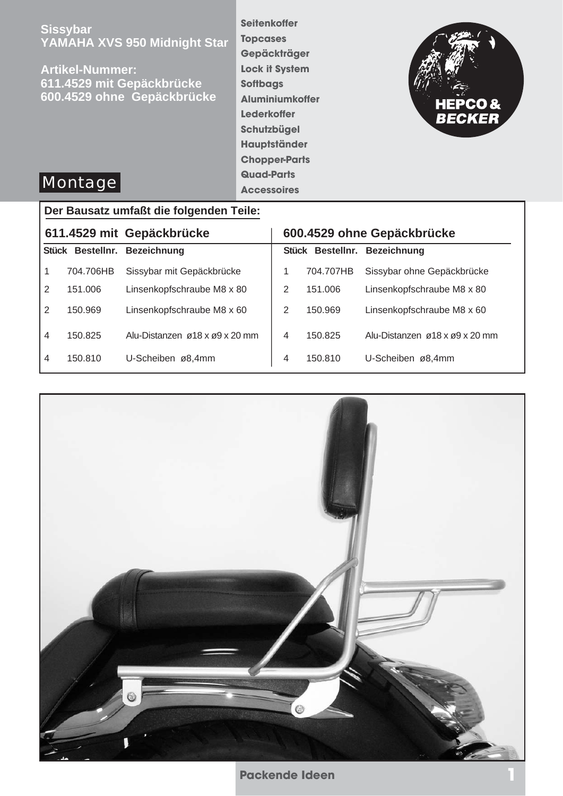**Sissybar YAMAHA XVS 950 Midnight Star**

**Artikel-Nummer: 611.4529 mit Gepäckbrücke 600.4529 ohne Gepäckbrücke** **Seitenkoffer Topcases Gepäckträger Lock it System Softbags Aluminiumkoffer Lederkoffer Schutzbügel Hauptständer Chopper-Parts Quad-Parts Accessoires**



# **Montage**

## **Der Bausatz umfaßt die folgenden Teile:**

| 611.4529 mit Gepäckbrücke |           | 600.4529 ohne Gepäckbrücke     |   |           |                                |
|---------------------------|-----------|--------------------------------|---|-----------|--------------------------------|
|                           |           | Stück Bestellnr. Bezeichnung   |   |           | Stück Bestellnr. Bezeichnung   |
|                           | 704.706HB | Sissybar mit Gepäckbrücke      |   | 704.707HB | Sissybar ohne Gepäckbrücke     |
| 2                         | 151.006   | Linsenkopfschraube M8 x 80     | 2 | 151.006   | Linsenkopfschraube M8 x 80     |
| 2                         | 150.969   | Linsenkopfschraube M8 x 60     | 2 | 150.969   | Linsenkopfschraube M8 x 60     |
| $\overline{4}$            | 150.825   | Alu-Distanzen ø18 x ø9 x 20 mm | 4 | 150.825   | Alu-Distanzen ø18 x ø9 x 20 mm |
| $\overline{4}$            | 150.810   | U-Scheiben ø8,4mm              | 4 | 150.810   | U-Scheiben ø8,4mm              |

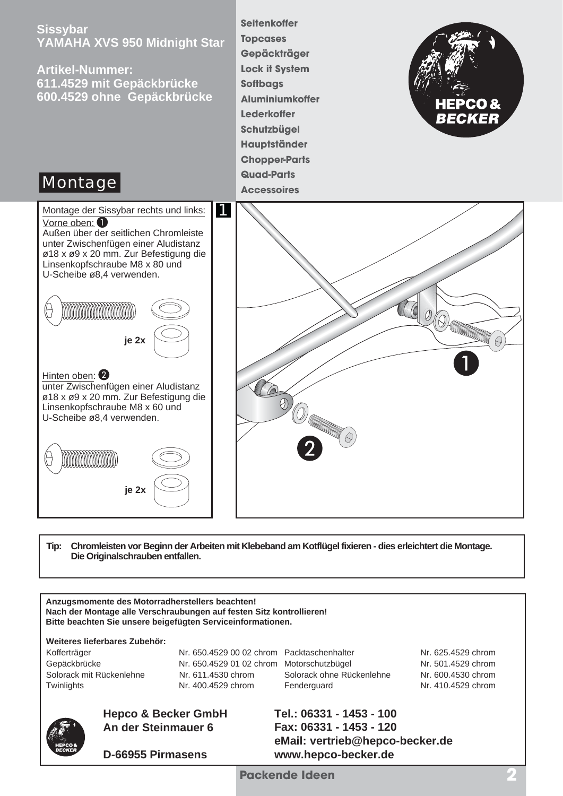

**Tip: Chromleisten vor Beginn der Arbeiten mit Klebeband am Kotflügel fixieren - dies erleichtert die Montage. Die Originalschrauben entfallen.**

**Anzugsmomente des Motorradherstellers beachten! Nach der Montage alle Verschraubungen auf festen Sitz kontrollieren! Bitte beachten Sie unsere beigefügten Serviceinformationen.**

**Weiteres lieferbares Zubehör:**

Kofferträger **Nr. 650.4529 00 02 chrom Packtaschenhalter** Nr. 625.4529 chrom Gepäckbrücke Nr. 650.4529 01 02 chrom Motorschutzbügel Nr. 501.4529 chrom Solorack mit Rückenlehne Nr. 611.4530 chrom Solorack ohne Rückenlehne Nr. 600.4530 chrom Twinlights **Nr. 400.4529 chrom** Fenderguard Nr. 410.4529 chrom



## **Hepco & Becker GmbH An der Steinmauer 6**

**D-66955 Pirmasens**

**Tel.: 06331 - 1453 - 100 Fax: 06331 - 1453 - 120 eMail: vertrieb@hepco-becker.de www.hepco-becker.de**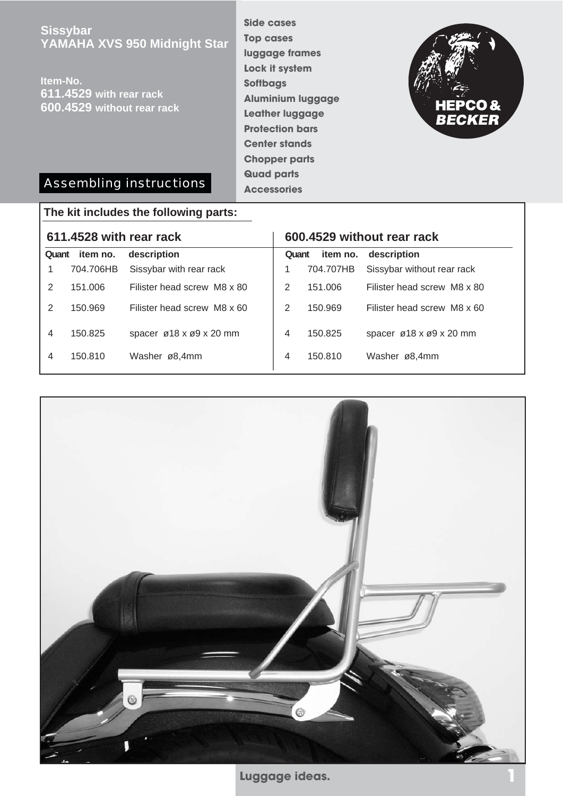**Sissybar YAMAHA XVS 950 Midnight Star**

**Item-No. 611.4529 with rear rack 600.4529 without rear rack** **Side cases Top cases luggage frames Lock it system Softbags Aluminium luggage Leather luggage Protection bars Center stands Chopper parts Quad parts Accessories**



## Assembling instructions

## **611.4528 with rear rack 600.4529 without rear rack The kit includes the following parts: Quant item no. description Quant item no. description** 1 704.706HB Sissybar with rear rack 2 151.006 Filister head screw M8 x 80 2 150.969 Filister head screw M8 x 60 4 150.825 spacer ø18 x ø9 x 20 mm 4 150.810 Washer ø8,4mm 1 704.707HB Sissybar without rear rack 2 151.006 Filister head screw M8 x 80 2 150.969 Filister head screw M8 x 60 4 150.825 spacer ø18 x ø9 x 20 mm 4 150.810 Washer ø8,4mm